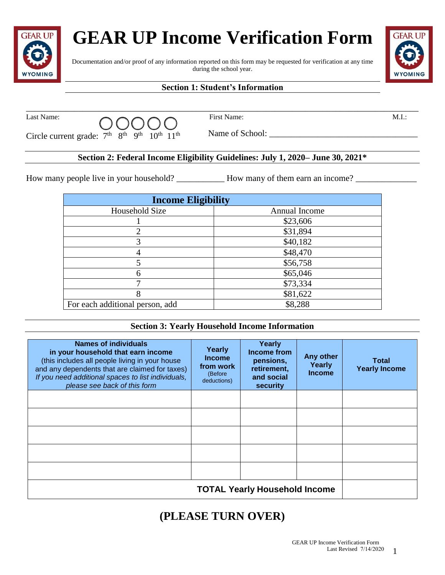# **GEAR UP Income Verification Form**



#### Documentation and/or proof of any information reported on this form may be requested for verification at any time during the school year.



### **Section 1: Student's Information**

\_\_\_\_\_\_\_\_\_\_\_\_\_\_\_\_\_\_\_\_\_\_\_\_\_\_\_\_\_\_\_\_\_\_\_\_\_\_\_\_\_\_\_\_\_\_\_\_\_\_\_\_\_\_\_\_\_\_\_\_\_\_\_\_\_\_\_\_\_\_\_\_\_\_\_\_\_\_\_\_\_\_\_\_\_\_\_\_\_\_

| Last Name: | 00000                                                                                         | First Name:     | M.I. |
|------------|-----------------------------------------------------------------------------------------------|-----------------|------|
|            | Circle current grade: $7th$ 8 <sup>th</sup> 9 <sup>th</sup> 10 <sup>th</sup> 11 <sup>th</sup> | Name of School: |      |

#### **Section 2: Federal Income Eligibility Guidelines: July 1, 2020– June 30, 2021\***

How many people live in your household? \_\_\_\_\_\_\_\_\_\_\_\_\_ How many of them earn an income? \_\_\_\_\_\_\_\_\_\_\_\_\_\_\_\_\_\_\_\_\_\_\_

| <b>Income Eligibility</b>       |               |  |
|---------------------------------|---------------|--|
| Household Size                  | Annual Income |  |
|                                 | \$23,606      |  |
| ∍                               | \$31,894      |  |
|                                 | \$40,182      |  |
|                                 | \$48,470      |  |
|                                 | \$56,758      |  |
|                                 | \$65,046      |  |
|                                 | \$73,334      |  |
| 8                               | \$81,622      |  |
| For each additional person, add | \$8,288       |  |

#### **Section 3: Yearly Household Income Information**

| <b>Names of individuals</b><br>in your household that earn income<br>(this includes all people living in your house<br>and any dependents that are claimed for taxes)<br>If you need additional spaces to list individuals,<br>please see back of this form | Yearly<br><b>Income</b><br>from work<br>(Before<br>deductions) | Yearly<br>Income from<br>pensions,<br>retirement,<br>and social<br>security | Any other<br>Yearly<br><b>Income</b> | Total<br><b>Yearly Income</b> |
|-------------------------------------------------------------------------------------------------------------------------------------------------------------------------------------------------------------------------------------------------------------|----------------------------------------------------------------|-----------------------------------------------------------------------------|--------------------------------------|-------------------------------|
|                                                                                                                                                                                                                                                             |                                                                |                                                                             |                                      |                               |
|                                                                                                                                                                                                                                                             |                                                                |                                                                             |                                      |                               |
|                                                                                                                                                                                                                                                             |                                                                |                                                                             |                                      |                               |
|                                                                                                                                                                                                                                                             |                                                                |                                                                             |                                      |                               |
|                                                                                                                                                                                                                                                             |                                                                |                                                                             |                                      |                               |
|                                                                                                                                                                                                                                                             |                                                                |                                                                             |                                      |                               |

## **(PLEASE TURN OVER)**